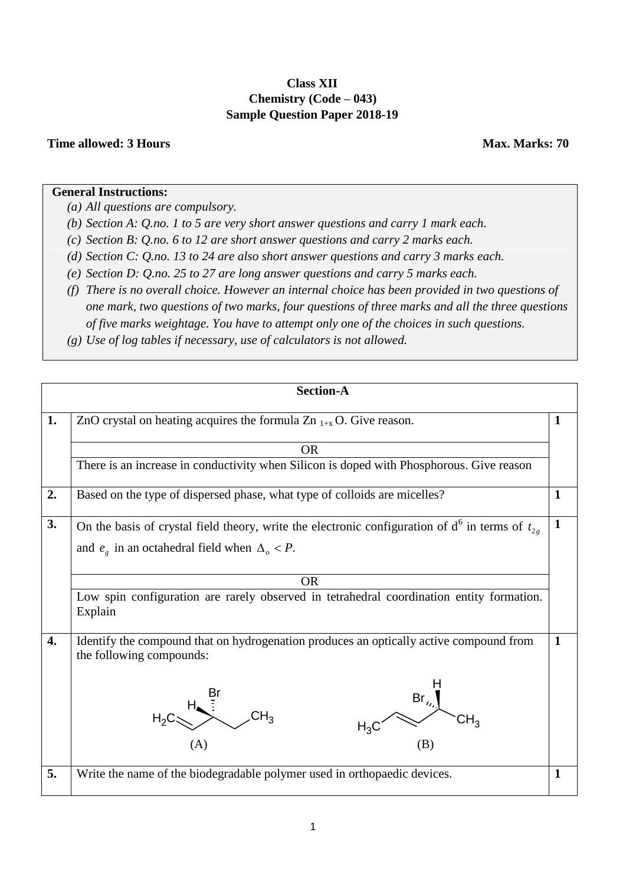## **Class XII Chemistry (Code – 043) Sample Question Paper 2018-19**

## **Time allowed: 3 Hours Max. Marks: 70**

## **General Instructions:**

*(a) All questions are compulsory.*

*(b) Section A: Q.no. 1 to 5 are very short answer questions and carry 1 mark each.*

*(c) Section B: Q.no. 6 to 12 are short answer questions and carry 2 marks each.*

*(d) Section C: Q.no. 13 to 24 are also short answer questions and carry 3 marks each.*

*(e) Section D: Q.no. 25 to 27 are long answer questions and carry 5 marks each.*

*(f) There is no overall choice. However an internal choice has been provided in two questions of one mark, two questions of two marks, four questions of three marks and all the three questions of five marks weightage. You have to attempt only one of the choices in such questions.* 

*(g) Use of log tables if necessary, use of calculators is not allowed.*

|                  | <b>Section-A</b>                                                                                                                                                 |              |  |  |  |  |
|------------------|------------------------------------------------------------------------------------------------------------------------------------------------------------------|--------------|--|--|--|--|
| 1.               | ZnO crystal on heating acquires the formula Zn $_{1+x}$ O. Give reason.                                                                                          |              |  |  |  |  |
|                  | <b>OR</b>                                                                                                                                                        |              |  |  |  |  |
|                  | There is an increase in conductivity when Silicon is doped with Phosphorous. Give reason                                                                         |              |  |  |  |  |
| 2.               | Based on the type of dispersed phase, what type of colloids are micelles?<br>$\mathbf{1}$                                                                        |              |  |  |  |  |
| 3.               | On the basis of crystal field theory, write the electronic configuration of $d^6$ in terms of $t_{2g}$<br>and $e_g$ in an octahedral field when $\Delta_o < P$ . |              |  |  |  |  |
|                  | <b>OR</b>                                                                                                                                                        |              |  |  |  |  |
|                  | Low spin configuration are rarely observed in tetrahedral coordination entity formation.<br>Explain                                                              |              |  |  |  |  |
| $\overline{4}$ . | Identify the compound that on hydrogenation produces an optically active compound from<br>the following compounds:<br>$Br_{\prime}, \}$<br>(A)<br>(B)            | $\mathbf{1}$ |  |  |  |  |
| 5.               | Write the name of the biodegradable polymer used in orthopaedic devices.                                                                                         | $\mathbf{1}$ |  |  |  |  |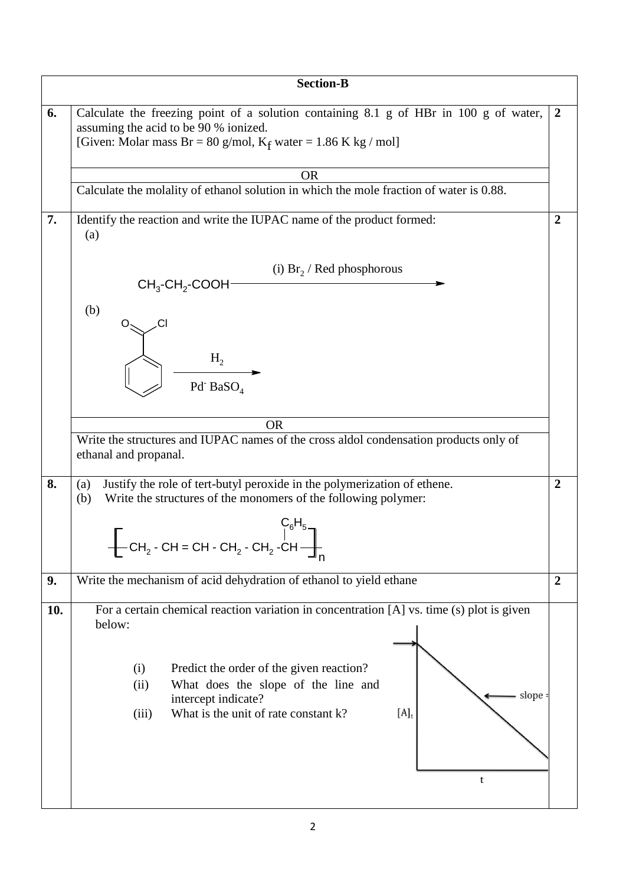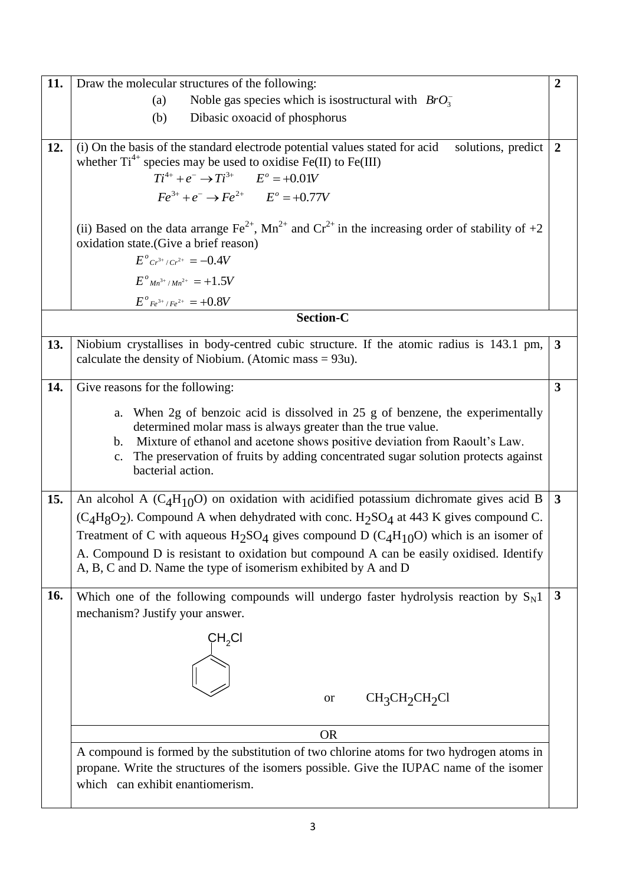| 11. | $\overline{2}$<br>Draw the molecular structures of the following:                                                                                                                                                                                                                                                                                                                                                                                                       |              |  |  |  |
|-----|-------------------------------------------------------------------------------------------------------------------------------------------------------------------------------------------------------------------------------------------------------------------------------------------------------------------------------------------------------------------------------------------------------------------------------------------------------------------------|--------------|--|--|--|
|     | Noble gas species which is isostructural with $BrO_3^-$<br>(a)                                                                                                                                                                                                                                                                                                                                                                                                          |              |  |  |  |
|     | (b)<br>Dibasic oxoacid of phosphorus                                                                                                                                                                                                                                                                                                                                                                                                                                    |              |  |  |  |
| 12. | (i) On the basis of the standard electrode potential values stated for acid<br>solutions, predict<br>whether $Ti^{4+}$ species may be used to oxidise Fe(II) to Fe(III)<br>$Ti^{4+} + e^- \rightarrow Ti^{3+}$ $E^{\circ} = +0.01V$<br>$Fe^{3+} + e^{-} \rightarrow Fe^{2+}$ $E^{o} = +0.77V$                                                                                                                                                                           |              |  |  |  |
|     | (ii) Based on the data arrange $\text{Fe}^{2+}$ , Mn <sup>2+</sup> and Cr <sup>2+</sup> in the increasing order of stability of +2<br>oxidation state. (Give a brief reason)<br>$E^{\circ}$ $Cr^{3+}/Cr^{2+} = -0.4V$                                                                                                                                                                                                                                                   |              |  |  |  |
|     | $E^{o}$ <sub>Mn</sub> <sup>3+</sup> /Mn <sup>2+</sup> = +1.5V                                                                                                                                                                                                                                                                                                                                                                                                           |              |  |  |  |
|     | $E^{\circ}$ <sub>Fe</sub> <sup>3+</sup> /Fe <sup>2+</sup> = +0.8V                                                                                                                                                                                                                                                                                                                                                                                                       |              |  |  |  |
|     | <b>Section-C</b>                                                                                                                                                                                                                                                                                                                                                                                                                                                        |              |  |  |  |
| 13. | Niobium crystallises in body-centred cubic structure. If the atomic radius is 143.1 pm,<br>calculate the density of Niobium. (Atomic mass $= 93u$ ).                                                                                                                                                                                                                                                                                                                    | $\mathbf{3}$ |  |  |  |
| 14. | Give reasons for the following:                                                                                                                                                                                                                                                                                                                                                                                                                                         | $\mathbf{3}$ |  |  |  |
|     | When 2g of benzoic acid is dissolved in 25 g of benzene, the experimentally<br>a.<br>determined molar mass is always greater than the true value.<br>Mixture of ethanol and acetone shows positive deviation from Raoult's Law.<br>b.<br>The preservation of fruits by adding concentrated sugar solution protects against<br>$\mathbf{c}$ .<br>bacterial action.                                                                                                       |              |  |  |  |
| 15. | An alcohol A $(C_4H_{10}O)$ on oxidation with acidified potassium dichromate gives acid B<br>$(C_4H_8O_2)$ . Compound A when dehydrated with conc. $H_2SO_4$ at 443 K gives compound C.<br>Treatment of C with aqueous $H_2SO_4$ gives compound D (C <sub>4</sub> H <sub>10</sub> O) which is an isomer of<br>A. Compound D is resistant to oxidation but compound A can be easily oxidised. Identify<br>A, B, C and D. Name the type of isomerism exhibited by A and D |              |  |  |  |
| 16. | Which one of the following compounds will undergo faster hydrolysis reaction by $S_N1$<br>mechanism? Justify your answer.<br>$\mathsf{CH_2Cl}$                                                                                                                                                                                                                                                                                                                          | $\mathbf{3}$ |  |  |  |
|     | CH <sub>3</sub> CH <sub>2</sub> CH <sub>2</sub> Cl<br><b>or</b>                                                                                                                                                                                                                                                                                                                                                                                                         |              |  |  |  |
|     | <b>OR</b>                                                                                                                                                                                                                                                                                                                                                                                                                                                               |              |  |  |  |
|     | A compound is formed by the substitution of two chlorine atoms for two hydrogen atoms in<br>propane. Write the structures of the isomers possible. Give the IUPAC name of the isomer<br>which can exhibit enantiomerism.                                                                                                                                                                                                                                                |              |  |  |  |
|     |                                                                                                                                                                                                                                                                                                                                                                                                                                                                         |              |  |  |  |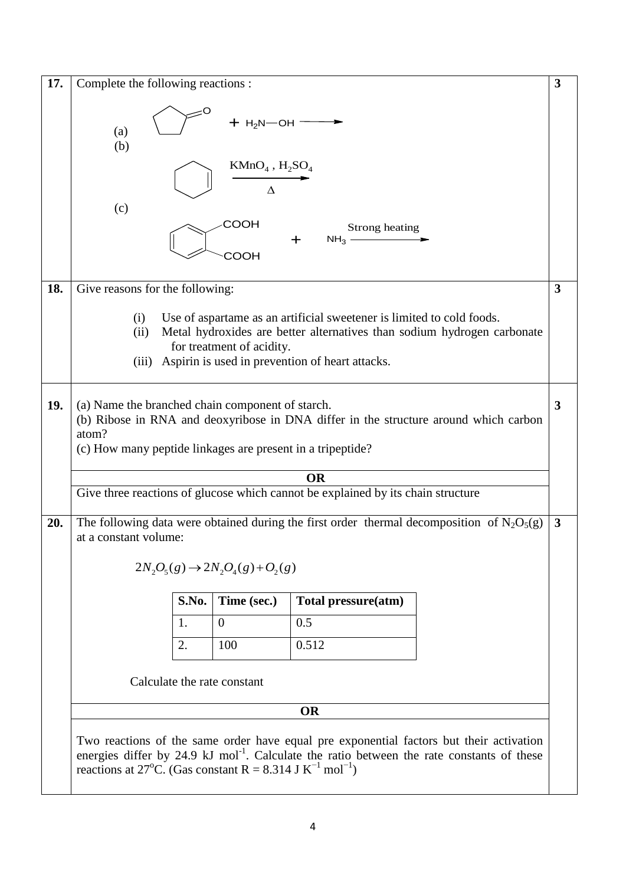| 17.                                                                                                                                                                                                                                                                                                | Complete the following reactions :                                                                                                                                                                                                                       |  |  |  |  |  |
|----------------------------------------------------------------------------------------------------------------------------------------------------------------------------------------------------------------------------------------------------------------------------------------------------|----------------------------------------------------------------------------------------------------------------------------------------------------------------------------------------------------------------------------------------------------------|--|--|--|--|--|
|                                                                                                                                                                                                                                                                                                    | $+$ H <sub>2</sub> N-OH -<br>(a)<br>(b)                                                                                                                                                                                                                  |  |  |  |  |  |
|                                                                                                                                                                                                                                                                                                    | $KMnO4$ , $H2SO4$<br>$\Lambda$                                                                                                                                                                                                                           |  |  |  |  |  |
|                                                                                                                                                                                                                                                                                                    | (c)<br>СООН<br>Strong heating<br>$NH3$ -<br>соон                                                                                                                                                                                                         |  |  |  |  |  |
| 18.<br>Give reasons for the following:                                                                                                                                                                                                                                                             |                                                                                                                                                                                                                                                          |  |  |  |  |  |
|                                                                                                                                                                                                                                                                                                    | (i)<br>Use of aspartame as an artificial sweetener is limited to cold foods.<br>Metal hydroxides are better alternatives than sodium hydrogen carbonate<br>(ii)<br>for treatment of acidity.<br>Aspirin is used in prevention of heart attacks.<br>(iii) |  |  |  |  |  |
| 19.<br>(a) Name the branched chain component of starch.<br>(b) Ribose in RNA and deoxyribose in DNA differ in the structure around which carbon<br>atom?<br>(c) How many peptide linkages are present in a tripeptide?                                                                             |                                                                                                                                                                                                                                                          |  |  |  |  |  |
|                                                                                                                                                                                                                                                                                                    | <b>OR</b>                                                                                                                                                                                                                                                |  |  |  |  |  |
|                                                                                                                                                                                                                                                                                                    | Give three reactions of glucose which cannot be explained by its chain structure                                                                                                                                                                         |  |  |  |  |  |
| 20.                                                                                                                                                                                                                                                                                                | The following data were obtained during the first order thermal decomposition of $N_2O_5(g)$<br>at a constant volume:                                                                                                                                    |  |  |  |  |  |
|                                                                                                                                                                                                                                                                                                    | $2N_2O_5(g) \rightarrow 2N_2O_4(g) + O_2(g)$                                                                                                                                                                                                             |  |  |  |  |  |
|                                                                                                                                                                                                                                                                                                    | S.No.<br>Time (sec.)<br>Total pressure(atm)                                                                                                                                                                                                              |  |  |  |  |  |
|                                                                                                                                                                                                                                                                                                    | $\theta$<br>0.5<br>1.                                                                                                                                                                                                                                    |  |  |  |  |  |
|                                                                                                                                                                                                                                                                                                    | 100<br>0.512<br>2.                                                                                                                                                                                                                                       |  |  |  |  |  |
|                                                                                                                                                                                                                                                                                                    | Calculate the rate constant                                                                                                                                                                                                                              |  |  |  |  |  |
|                                                                                                                                                                                                                                                                                                    | <b>OR</b>                                                                                                                                                                                                                                                |  |  |  |  |  |
| Two reactions of the same order have equal pre exponential factors but their activation<br>energies differ by 24.9 kJ mol <sup>-1</sup> . Calculate the ratio between the rate constants of these<br>reactions at 27 <sup>o</sup> C. (Gas constant R = 8.314 J K <sup>-1</sup> mol <sup>-1</sup> ) |                                                                                                                                                                                                                                                          |  |  |  |  |  |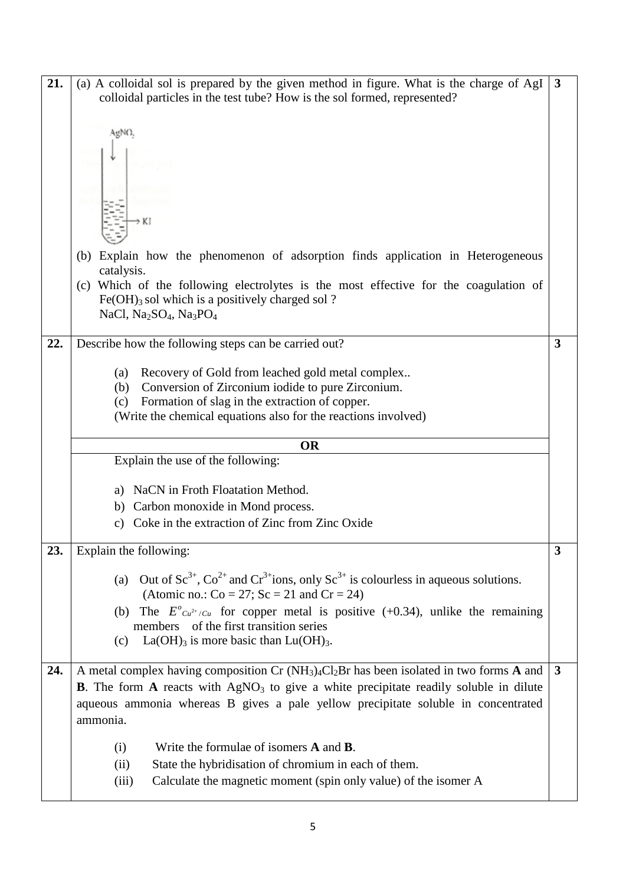| 21. | (a) A colloidal sol is prepared by the given method in figure. What is the charge of AgI<br>$\mathbf{3}$<br>colloidal particles in the test tube? How is the sol formed, represented? |   |  |  |  |
|-----|---------------------------------------------------------------------------------------------------------------------------------------------------------------------------------------|---|--|--|--|
|     |                                                                                                                                                                                       |   |  |  |  |
|     | AgNO,                                                                                                                                                                                 |   |  |  |  |
|     |                                                                                                                                                                                       |   |  |  |  |
|     |                                                                                                                                                                                       |   |  |  |  |
|     |                                                                                                                                                                                       |   |  |  |  |
|     | > KI                                                                                                                                                                                  |   |  |  |  |
|     |                                                                                                                                                                                       |   |  |  |  |
|     | (b) Explain how the phenomenon of adsorption finds application in Heterogeneous<br>catalysis.                                                                                         |   |  |  |  |
|     | (c) Which of the following electrolytes is the most effective for the coagulation of<br>$Fe(OH)$ <sub>3</sub> sol which is a positively charged sol ?                                 |   |  |  |  |
|     | NaCl, Na <sub>2</sub> SO <sub>4</sub> , Na <sub>3</sub> PO <sub>4</sub>                                                                                                               |   |  |  |  |
| 22. | Describe how the following steps can be carried out?                                                                                                                                  | 3 |  |  |  |
|     | Recovery of Gold from leached gold metal complex<br>(a)                                                                                                                               |   |  |  |  |
|     | Conversion of Zirconium iodide to pure Zirconium.<br>(b)                                                                                                                              |   |  |  |  |
|     | Formation of slag in the extraction of copper.<br>(c)                                                                                                                                 |   |  |  |  |
|     | (Write the chemical equations also for the reactions involved)                                                                                                                        |   |  |  |  |
|     | <b>OR</b>                                                                                                                                                                             |   |  |  |  |
|     |                                                                                                                                                                                       |   |  |  |  |
|     | Explain the use of the following:                                                                                                                                                     |   |  |  |  |
|     | NaCN in Froth Floatation Method.<br>a)                                                                                                                                                |   |  |  |  |
|     | Carbon monoxide in Mond process.<br>b)                                                                                                                                                |   |  |  |  |
|     | Coke in the extraction of Zinc from Zinc Oxide<br>C)                                                                                                                                  |   |  |  |  |
| 23. | Explain the following:                                                                                                                                                                | 3 |  |  |  |
|     | Out of $\text{Sc}^{3+}$ , $\text{Co}^{2+}$ and $\text{Cr}^{3+}$ ions, only $\text{Sc}^{3+}$ is colourless in aqueous solutions.<br>(a)                                                |   |  |  |  |
|     | (Atomic no.: $Co = 27$ ; $Sc = 21$ and $Cr = 24$ )<br>(b) The $E^{o}Cu^{2+}/Cu$ for copper metal is positive (+0.34), unlike the remaining                                            |   |  |  |  |
|     | of the first transition series<br>members                                                                                                                                             |   |  |  |  |
|     | $La(OH)3$ is more basic than $Lu(OH)3$ .<br>(c)                                                                                                                                       |   |  |  |  |
| 24. | A metal complex having composition Cr $(NH_3)_4Cl_2Br$ has been isolated in two forms A and                                                                                           | 3 |  |  |  |
|     | <b>B.</b> The form A reacts with $AgNO3$ to give a white precipitate readily soluble in dilute                                                                                        |   |  |  |  |
|     | aqueous ammonia whereas B gives a pale yellow precipitate soluble in concentrated                                                                                                     |   |  |  |  |
|     | ammonia.                                                                                                                                                                              |   |  |  |  |
|     | Write the formulae of isomers <b>A</b> and <b>B</b> .<br>(i)                                                                                                                          |   |  |  |  |
|     | State the hybridisation of chromium in each of them.<br>(ii)<br>Calculate the magnetic moment (spin only value) of the isomer A<br>(iii)                                              |   |  |  |  |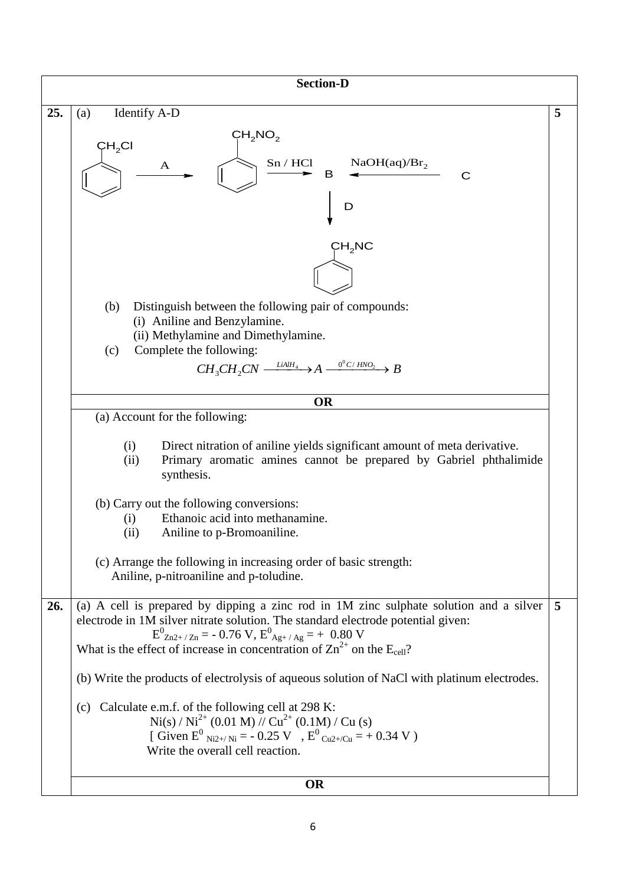